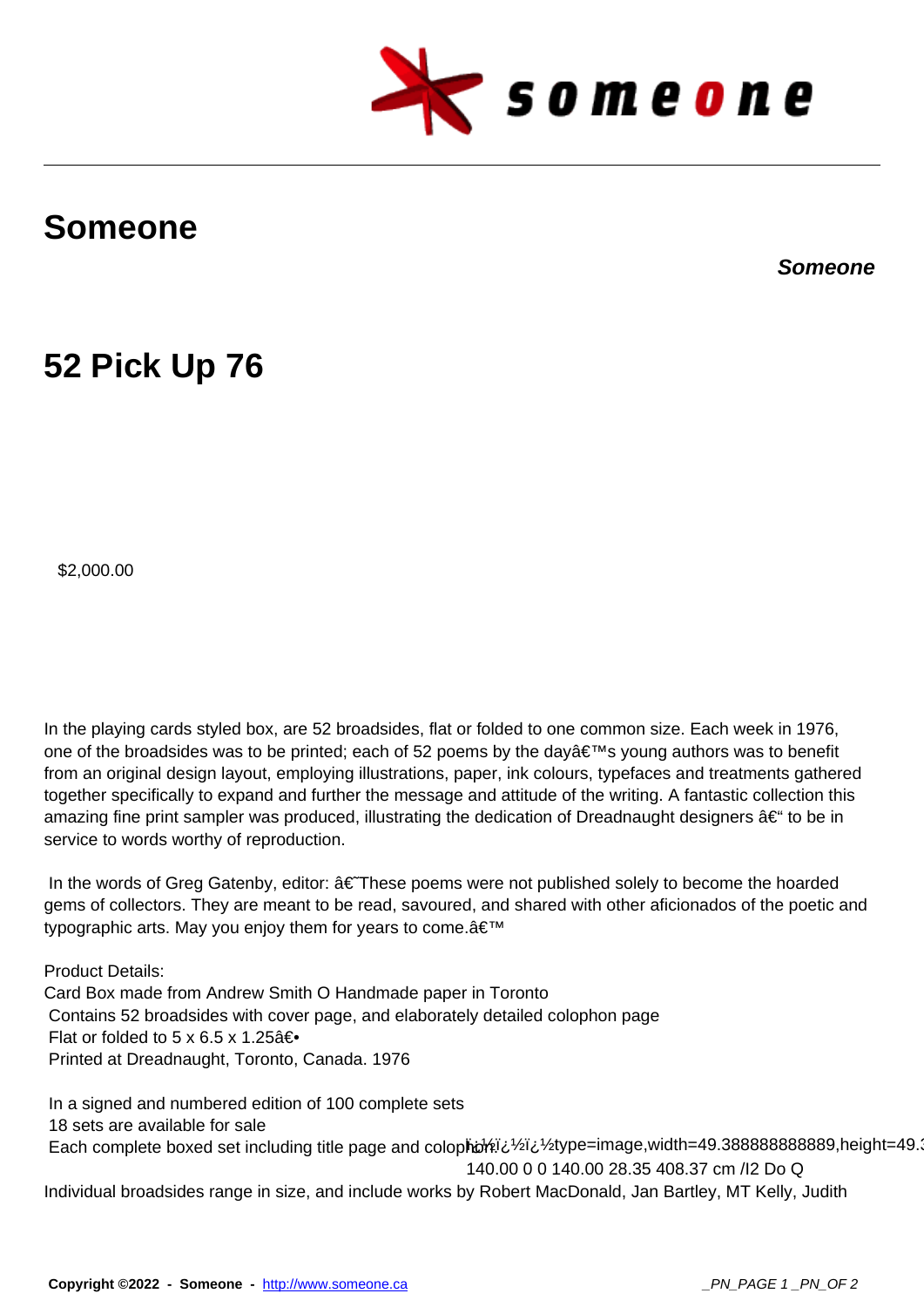

## **Someone**

**Someone**

## **52 Pick Up 76**

\$2,000.00

In the playing cards styled box, are 52 broadsides, flat or folded to one common size. Each week in 1976, one of the broadsides was to be printed; each of 52 poems by the day's young authors was to benefit from an original design layout, employing illustrations, paper, ink colours, typefaces and treatments gathered together specifically to expand and further the message and attitude of the writing. A fantastic collection this amazing fine print sampler was produced, illustrating the dedication of Dreadnaught designers  $\hat{a}\epsilon$ " to be in service to words worthy of reproduction.

In the words of Greg Gatenby, editor:  $\hat{a} \in \text{These poems}$  were not published solely to become the hoarded gems of collectors. They are meant to be read, savoured, and shared with other aficionados of the poetic and typographic arts. May you enjoy them for years to come. a €<sup>™</sup>

Product Details: Card Box made from Andrew Smith O Handmade paper in Toronto Contains 52 broadsides with cover page, and elaborately detailed colophon page Flat or folded to 5 x 6.5 x 1.25 $â$ € $\bullet$ Printed at Dreadnaught, Toronto, Canada. 1976

Each complete boxed set including title page and colopho $\frac{1}{2}$  is 1/2type=image,width=49.388888888888889,height=49.388888889,height=49.388 140.00 0 0 140.00 28.35 408.37 cm /I2 Do Q In a signed and numbered edition of 100 complete sets 18 sets are available for sale Individual broadsides range in size, and include works by Robert MacDonald, Jan Bartley, MT Kelly, Judith